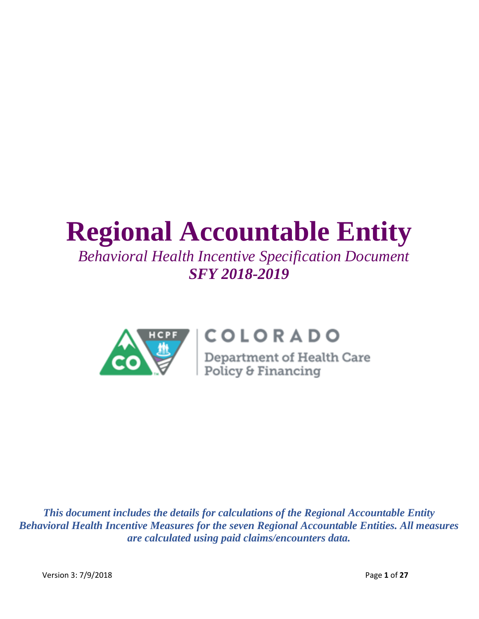# **Regional Accountable Entity**

# *Behavioral Health Incentive Specification Document SFY 2018-2019*



# COLORADO

**COLORADO**<br>Department of Health Care<br>Policy & Financing

*This document includes the details for calculations of the Regional Accountable Entity Behavioral Health Incentive Measures for the seven Regional Accountable Entities. All measures are calculated using paid claims/encounters data.*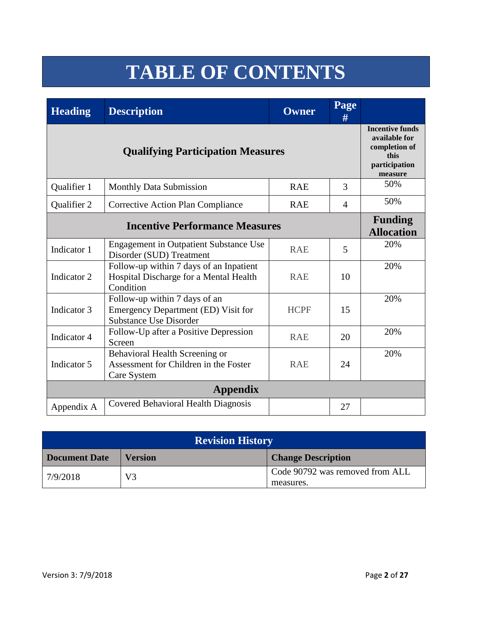# **TABLE OF CONTENTS**

| <b>Heading</b> | <b>Description</b>                                                                                    | <b>Owner</b> | Page<br># |     |
|----------------|-------------------------------------------------------------------------------------------------------|--------------|-----------|-----|
|                | <b>Incentive funds</b><br>available for<br>completion of<br>this<br>participation<br>measure          |              |           |     |
| Qualifier 1    | <b>Monthly Data Submission</b>                                                                        | <b>RAE</b>   | 3         | 50% |
| Qualifier 2    | <b>Corrective Action Plan Compliance</b>                                                              | <b>RAE</b>   | 4         | 50% |
|                | <b>Funding</b><br><b>Allocation</b>                                                                   |              |           |     |
| Indicator 1    | <b>Engagement in Outpatient Substance Use</b><br>Disorder (SUD) Treatment                             | <b>RAE</b>   | 5         | 20% |
| Indicator 2    | Follow-up within 7 days of an Inpatient<br>Hospital Discharge for a Mental Health<br>Condition        | <b>RAE</b>   | 10        | 20% |
| Indicator 3    | Follow-up within 7 days of an<br>Emergency Department (ED) Visit for<br><b>Substance Use Disorder</b> | <b>HCPF</b>  | 15        | 20% |
| Indicator 4    | Follow-Up after a Positive Depression<br>Screen                                                       | <b>RAE</b>   | 20        | 20% |
| Indicator 5    | Behavioral Health Screening or<br>Assessment for Children in the Foster<br>Care System                | <b>RAE</b>   | 24        | 20% |
|                | <b>Appendix</b>                                                                                       |              |           |     |
| Appendix A     | <b>Covered Behavioral Health Diagnosis</b>                                                            |              | 27        |     |

| <b>Revision History</b> |                |                                              |  |  |  |  |
|-------------------------|----------------|----------------------------------------------|--|--|--|--|
| <b>Document Date</b>    | <b>Version</b> | <b>Change Description</b>                    |  |  |  |  |
| 7/9/2018                | V3             | Code 90792 was removed from ALL<br>measures. |  |  |  |  |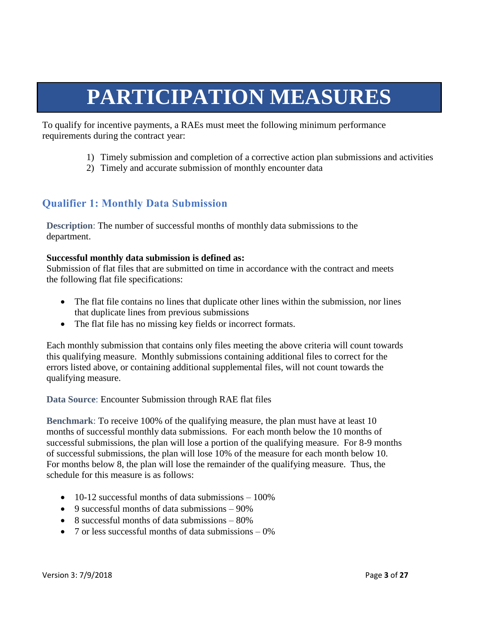# **PARTICIPATION MEASURES**

To qualify for incentive payments, a RAEs must meet the following minimum performance requirements during the contract year:

- 1) Timely submission and completion of a corrective action plan submissions and activities
- 2) Timely and accurate submission of monthly encounter data

# **Qualifier 1: Monthly Data Submission**

**Description**: The number of successful months of monthly data submissions to the department.

#### **Successful monthly data submission is defined as:**

Submission of flat files that are submitted on time in accordance with the contract and meets the following flat file specifications:

- The flat file contains no lines that duplicate other lines within the submission, nor lines that duplicate lines from previous submissions
- The flat file has no missing key fields or incorrect formats.

Each monthly submission that contains only files meeting the above criteria will count towards this qualifying measure. Monthly submissions containing additional files to correct for the errors listed above, or containing additional supplemental files, will not count towards the qualifying measure.

#### **Data Source**: Encounter Submission through RAE flat files

**Benchmark**: To receive 100% of the qualifying measure, the plan must have at least 10 months of successful monthly data submissions. For each month below the 10 months of successful submissions, the plan will lose a portion of the qualifying measure. For 8-9 months of successful submissions, the plan will lose 10% of the measure for each month below 10. For months below 8, the plan will lose the remainder of the qualifying measure. Thus, the schedule for this measure is as follows:

- $\bullet$  10-12 successful months of data submissions 100%
- 9 successful months of data submissions  $-90\%$
- 8 successful months of data submissions 80%
- 7 or less successful months of data submissions  $-0\%$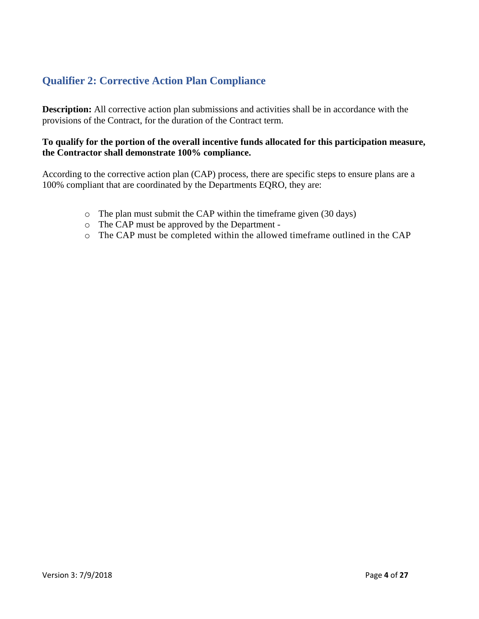# **Qualifier 2: Corrective Action Plan Compliance**

**Description:** All corrective action plan submissions and activities shall be in accordance with the provisions of the Contract, for the duration of the Contract term.

#### **To qualify for the portion of the overall incentive funds allocated for this participation measure, the Contractor shall demonstrate 100% compliance.**

According to the corrective action plan (CAP) process, there are specific steps to ensure plans are a 100% compliant that are coordinated by the Departments EQRO, they are:

- o The plan must submit the CAP within the timeframe given (30 days)
- o The CAP must be approved by the Department -
- o The CAP must be completed within the allowed timeframe outlined in the CAP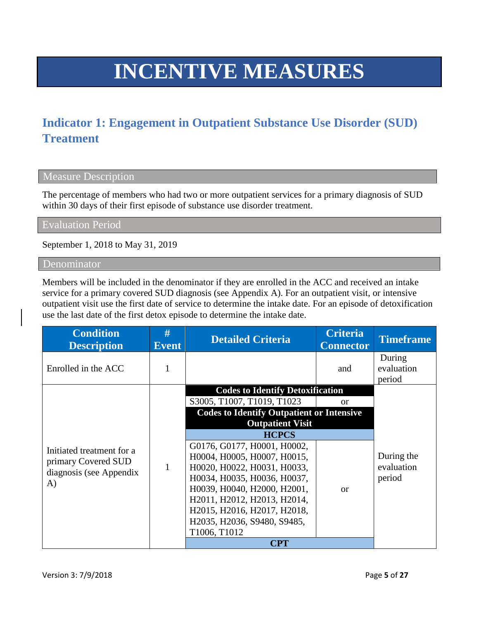# **INCENTIVE MEASURES**

# **Indicator 1: Engagement in Outpatient Substance Use Disorder (SUD) Treatment**

#### Measure Description

The percentage of members who had two or more outpatient services for a primary diagnosis of SUD within 30 days of their first episode of substance use disorder treatment.

Evaluation Period

September 1, 2018 to May 31, 2019

#### Denominator

Members will be included in the denominator if they are enrolled in the ACC and received an intake service for a primary covered SUD diagnosis (see Appendix A). For an outpatient visit, or intensive outpatient visit use the first date of service to determine the intake date. For an episode of detoxification use the last date of the first detox episode to determine the intake date.

| <b>Condition</b><br><b>Description</b> | #<br><b>Event</b> | <b>Detailed Criteria</b>                         | <b>Criteria</b><br><b>Connector</b> | <b>Timeframe</b>               |
|----------------------------------------|-------------------|--------------------------------------------------|-------------------------------------|--------------------------------|
| Enrolled in the ACC                    | 1                 |                                                  | and                                 | During<br>evaluation<br>period |
|                                        |                   | <b>Codes to Identify Detoxification</b>          |                                     |                                |
|                                        |                   | S3005, T1007, T1019, T1023                       | <sub>or</sub>                       |                                |
|                                        |                   | <b>Codes to Identify Outpatient or Intensive</b> |                                     |                                |
|                                        |                   | <b>Outpatient Visit</b>                          |                                     |                                |
|                                        |                   | <b>HCPCS</b>                                     |                                     |                                |
| Initiated treatment for a              |                   | G0176, G0177, H0001, H0002,                      |                                     |                                |
| primary Covered SUD                    |                   | H0004, H0005, H0007, H0015,                      |                                     | During the                     |
| diagnosis (see Appendix                | 1                 | H0020, H0022, H0031, H0033,                      |                                     | evaluation                     |
| A)                                     |                   | Н0034, Н0035, Н0036, Н0037,                      |                                     | period                         |
|                                        |                   | Н0039, Н0040, Н2000, Н2001,                      | $\alpha$                            |                                |
|                                        |                   | H2011, H2012, H2013, H2014,                      |                                     |                                |
|                                        |                   | H2015, H2016, H2017, H2018,                      |                                     |                                |
|                                        |                   | H2035, H2036, S9480, S9485,                      |                                     |                                |
|                                        |                   | T1006, T1012                                     |                                     |                                |
|                                        |                   | <b>CPT</b>                                       |                                     |                                |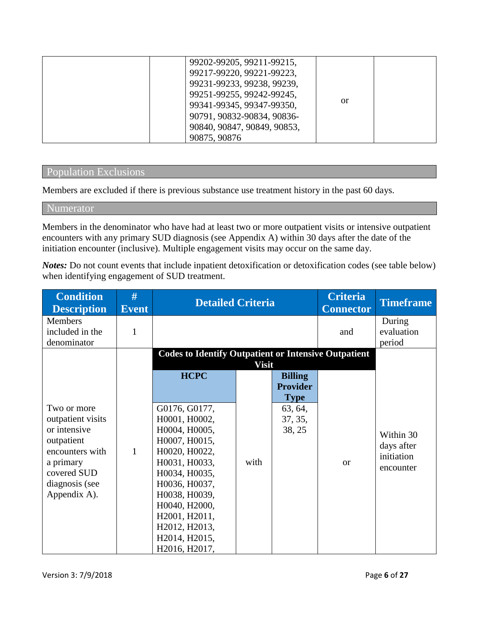|  | 99202-99205, 99211-99215,   |    |  |
|--|-----------------------------|----|--|
|  | 99217-99220, 99221-99223,   |    |  |
|  | 99231-99233, 99238, 99239,  |    |  |
|  | 99251-99255, 99242-99245,   |    |  |
|  | 99341-99345, 99347-99350,   | or |  |
|  | 90791, 90832-90834, 90836-  |    |  |
|  | 90840, 90847, 90849, 90853, |    |  |
|  | 90875, 90876                |    |  |

#### Population Exclusions

Members are excluded if there is previous substance use treatment history in the past 60 days.

#### Numerator

Members in the denominator who have had at least two or more outpatient visits or intensive outpatient encounters with any primary SUD diagnosis (see Appendix A) within 30 days after the date of the initiation encounter (inclusive). Multiple engagement visits may occur on the same day.

*Notes:* Do not count events that include inpatient detoxification or detoxification codes (see table below) when identifying engagement of SUD treatment.

| <b>Condition</b><br><b>Description</b>                                                                                                          | #<br><b>Event</b> | <b>Detailed Criteria</b>                                                                                                                                                                                                |              |                                                                                  | <b>Criteria</b><br><b>Connector</b> | <b>Timeframe</b>                                   |
|-------------------------------------------------------------------------------------------------------------------------------------------------|-------------------|-------------------------------------------------------------------------------------------------------------------------------------------------------------------------------------------------------------------------|--------------|----------------------------------------------------------------------------------|-------------------------------------|----------------------------------------------------|
| <b>Members</b><br>included in the<br>denominator                                                                                                | $\mathbf{1}$      |                                                                                                                                                                                                                         |              |                                                                                  | and                                 | During<br>evaluation<br>period                     |
|                                                                                                                                                 |                   | <b>Codes to Identify Outpatient or Intensive Outpatient</b>                                                                                                                                                             | <b>Visit</b> |                                                                                  |                                     |                                                    |
| Two or more<br>outpatient visits<br>or intensive<br>outpatient<br>encounters with<br>a primary<br>covered SUD<br>diagnosis (see<br>Appendix A). | $\mathbf{1}$      | <b>HCPC</b><br>G0176, G0177,<br>H0001, H0002,<br>H0004, H0005,<br>H0007, H0015,<br>H0020, H0022,<br>H0031, H0033,<br>H0034, H0035,<br>H0036, H0037,<br>H0038, H0039,<br>H0040, H2000,<br>H2001, H2011,<br>H2012, H2013, | with         | <b>Billing</b><br><b>Provider</b><br><b>Type</b><br>63, 64,<br>37, 35,<br>38, 25 | $\alpha$                            | Within 30<br>days after<br>initiation<br>encounter |
|                                                                                                                                                 |                   | H2014, H2015,<br>H2016, H2017,                                                                                                                                                                                          |              |                                                                                  |                                     |                                                    |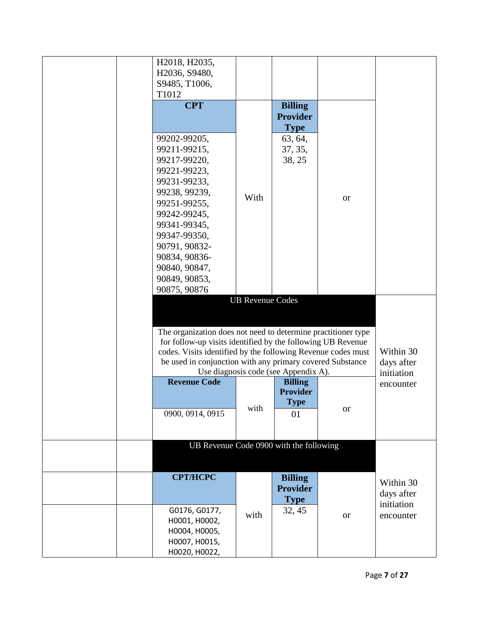| H2018, H2035,                                                 |                         |                                      |           |            |
|---------------------------------------------------------------|-------------------------|--------------------------------------|-----------|------------|
| H2036, S9480,                                                 |                         |                                      |           |            |
| S9485, T1006,                                                 |                         |                                      |           |            |
| T1012                                                         |                         |                                      |           |            |
| <b>CPT</b>                                                    |                         | <b>Billing</b>                       |           |            |
|                                                               |                         | <b>Provider</b>                      |           |            |
|                                                               |                         | <b>Type</b>                          |           |            |
| 99202-99205,                                                  |                         | 63, 64,                              |           |            |
| 99211-99215,                                                  |                         | 37, 35,                              |           |            |
| 99217-99220,                                                  |                         | 38, 25                               |           |            |
| 99221-99223,                                                  |                         |                                      |           |            |
|                                                               |                         |                                      |           |            |
| 99231-99233,                                                  |                         |                                      |           |            |
| 99238, 99239,                                                 | With                    |                                      | <b>or</b> |            |
| 99251-99255,                                                  |                         |                                      |           |            |
| 99242-99245,                                                  |                         |                                      |           |            |
| 99341-99345,                                                  |                         |                                      |           |            |
| 99347-99350,                                                  |                         |                                      |           |            |
| 90791, 90832-                                                 |                         |                                      |           |            |
| 90834, 90836-                                                 |                         |                                      |           |            |
| 90840, 90847,                                                 |                         |                                      |           |            |
| 90849, 90853,                                                 |                         |                                      |           |            |
| 90875, 90876                                                  |                         |                                      |           |            |
|                                                               | <b>UB Revenue Codes</b> |                                      |           |            |
|                                                               |                         |                                      |           |            |
|                                                               |                         |                                      |           |            |
| The organization does not need to determine practitioner type |                         |                                      |           |            |
| for follow-up visits identified by the following UB Revenue   |                         |                                      |           |            |
| codes. Visits identified by the following Revenue codes must  |                         |                                      |           | Within 30  |
| be used in conjunction with any primary covered Substance     |                         |                                      |           | days after |
|                                                               |                         | Use diagnosis code (see Appendix A). |           | initiation |
| <b>Revenue Code</b>                                           |                         | <b>Billing</b>                       |           | encounter  |
|                                                               |                         | <b>Provider</b>                      |           |            |
|                                                               | with                    | <b>Type</b>                          | <b>or</b> |            |
| 0900, 0914, 0915                                              |                         | 01                                   |           |            |
|                                                               |                         |                                      |           |            |
|                                                               |                         |                                      |           |            |
| UB Revenue Code 0900 with the following                       |                         |                                      |           |            |
|                                                               |                         |                                      |           |            |
| <b>CPT/HCPC</b>                                               |                         | <b>Billing</b>                       |           |            |
|                                                               |                         | <b>Provider</b>                      |           | Within 30  |
|                                                               |                         |                                      |           | days after |
| G0176, G0177,                                                 |                         | <b>Type</b>                          |           | initiation |
|                                                               | with                    | 32, 45                               | <b>or</b> | encounter  |
| H0001, H0002,                                                 |                         |                                      |           |            |
| H0004, H0005,                                                 |                         |                                      |           |            |
| H0007, H0015,                                                 |                         |                                      |           |            |
| H0020, H0022,                                                 |                         |                                      |           |            |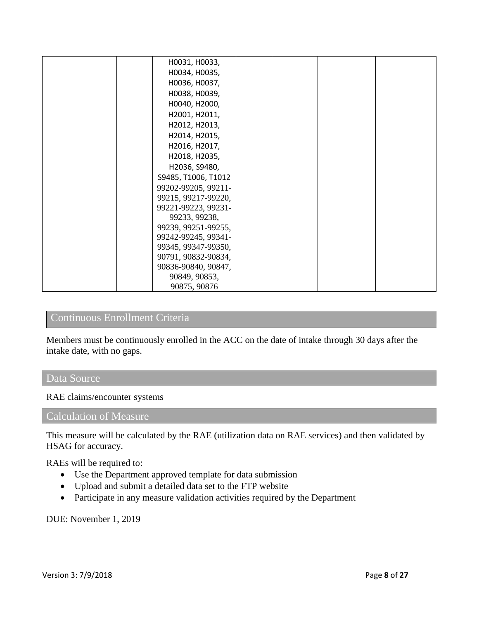|  | H0031, H0033,       |  |  |
|--|---------------------|--|--|
|  | H0034, H0035,       |  |  |
|  | H0036, H0037,       |  |  |
|  | H0038, H0039,       |  |  |
|  | H0040, H2000,       |  |  |
|  | H2001, H2011,       |  |  |
|  | H2012, H2013,       |  |  |
|  | H2014, H2015,       |  |  |
|  | H2016, H2017,       |  |  |
|  | H2018, H2035,       |  |  |
|  | H2036, S9480,       |  |  |
|  | S9485, T1006, T1012 |  |  |
|  | 99202-99205, 99211- |  |  |
|  | 99215, 99217-99220, |  |  |
|  | 99221-99223, 99231- |  |  |
|  | 99233, 99238,       |  |  |
|  | 99239, 99251-99255, |  |  |
|  | 99242-99245, 99341- |  |  |
|  | 99345, 99347-99350, |  |  |
|  | 90791, 90832-90834, |  |  |
|  | 90836-90840, 90847, |  |  |
|  | 90849, 90853,       |  |  |
|  | 90875, 90876        |  |  |

# Continuous Enrollment Criteria

Members must be continuously enrolled in the ACC on the date of intake through 30 days after the intake date, with no gaps.

### Data Source

RAE claims/encounter systems

### Calculation of Measure

This measure will be calculated by the RAE (utilization data on RAE services) and then validated by HSAG for accuracy.

RAEs will be required to:

- Use the Department approved template for data submission
- Upload and submit a detailed data set to the FTP website
- Participate in any measure validation activities required by the Department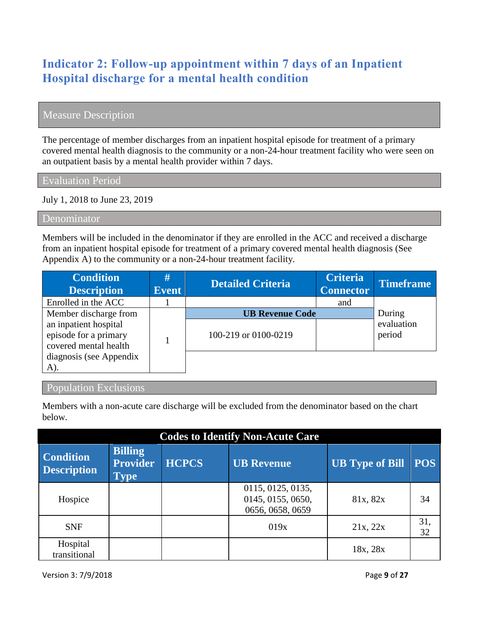# **Indicator 2: Follow-up appointment within 7 days of an Inpatient Hospital discharge for a mental health condition**

# Measure Description

The percentage of member discharges from an inpatient hospital episode for treatment of a primary covered mental health diagnosis to the community or a non-24-hour treatment facility who were seen on an outpatient basis by a mental health provider within 7 days.

Evaluation Period

July 1, 2018 to June 23, 2019

Denominator

Members will be included in the denominator if they are enrolled in the ACC and received a discharge from an inpatient hospital episode for treatment of a primary covered mental health diagnosis (See Appendix A) to the community or a non-24-hour treatment facility.

| <b>Condition</b><br><b>Description</b>                                                                                      | #<br><b>Event</b> | <b>Detailed Criteria</b>                       | <b>Criteria</b><br><b>Connector</b> | <b>Timeframe</b>               |
|-----------------------------------------------------------------------------------------------------------------------------|-------------------|------------------------------------------------|-------------------------------------|--------------------------------|
| Enrolled in the ACC                                                                                                         |                   |                                                | and                                 |                                |
| Member discharge from<br>an inpatient hospital<br>episode for a primary<br>covered mental health<br>diagnosis (see Appendix |                   | <b>UB Revenue Code</b><br>100-219 or 0100-0219 |                                     | During<br>evaluation<br>period |
| A).                                                                                                                         |                   |                                                |                                     |                                |

#### Population Exclusions

Members with a non-acute care discharge will be excluded from the denominator based on the chart below.

| <b>Codes to Identify Non-Acute Care</b> |                                                  |              |                                                            |                        |            |  |  |  |
|-----------------------------------------|--------------------------------------------------|--------------|------------------------------------------------------------|------------------------|------------|--|--|--|
| <b>Condition</b><br><b>Description</b>  | <b>Billing</b><br><b>Provider</b><br><b>Type</b> | <b>HCPCS</b> | <b>UB Revenue</b>                                          | <b>UB</b> Type of Bill | <b>POS</b> |  |  |  |
| Hospice                                 |                                                  |              | 0115, 0125, 0135,<br>0145, 0155, 0650,<br>0656, 0658, 0659 | 81x, 82x               | 34         |  |  |  |
| <b>SNF</b>                              |                                                  |              | 019x                                                       | 21x, 22x               | 31,<br>32  |  |  |  |
| Hospital<br>transitional                |                                                  |              |                                                            | 18x, 28x               |            |  |  |  |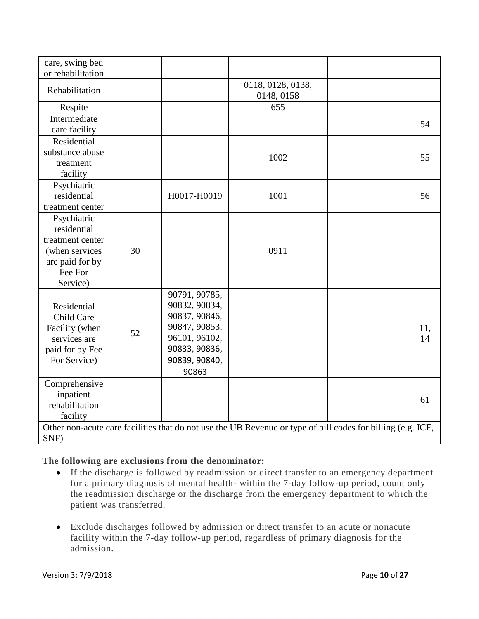| care, swing bed<br>or rehabilitation                                                                       |    |                                                                                                                              |                                                                                                             |           |
|------------------------------------------------------------------------------------------------------------|----|------------------------------------------------------------------------------------------------------------------------------|-------------------------------------------------------------------------------------------------------------|-----------|
| Rehabilitation                                                                                             |    |                                                                                                                              | 0118, 0128, 0138,<br>0148, 0158                                                                             |           |
| Respite                                                                                                    |    |                                                                                                                              | 655                                                                                                         |           |
| Intermediate<br>care facility                                                                              |    |                                                                                                                              |                                                                                                             | 54        |
| Residential<br>substance abuse<br>treatment<br>facility                                                    |    |                                                                                                                              | 1002                                                                                                        | 55        |
| Psychiatric<br>residential<br>treatment center                                                             |    | H0017-H0019                                                                                                                  | 1001                                                                                                        | 56        |
| Psychiatric<br>residential<br>treatment center<br>(when services<br>are paid for by<br>Fee For<br>Service) | 30 |                                                                                                                              | 0911                                                                                                        |           |
| Residential<br>Child Care<br>Facility (when<br>services are<br>paid for by Fee<br>For Service)             | 52 | 90791, 90785,<br>90832, 90834,<br>90837, 90846,<br>90847, 90853,<br>96101, 96102,<br>90833, 90836,<br>90839, 90840,<br>90863 |                                                                                                             | 11,<br>14 |
| Comprehensive<br>inpatient<br>rehabilitation<br>facility                                                   |    |                                                                                                                              |                                                                                                             | 61        |
| SNF)                                                                                                       |    |                                                                                                                              | Other non-acute care facilities that do not use the UB Revenue or type of bill codes for billing (e.g. ICF, |           |

#### **The following are exclusions from the denominator:**

- If the discharge is followed by readmission or direct transfer to an emergency department for a primary diagnosis of mental health- within the 7-day follow-up period, count only the readmission discharge or the discharge from the emergency department to which the patient was transferred.
- Exclude discharges followed by admission or direct transfer to an acute or nonacute facility within the 7-day follow-up period, regardless of primary diagnosis for the admission.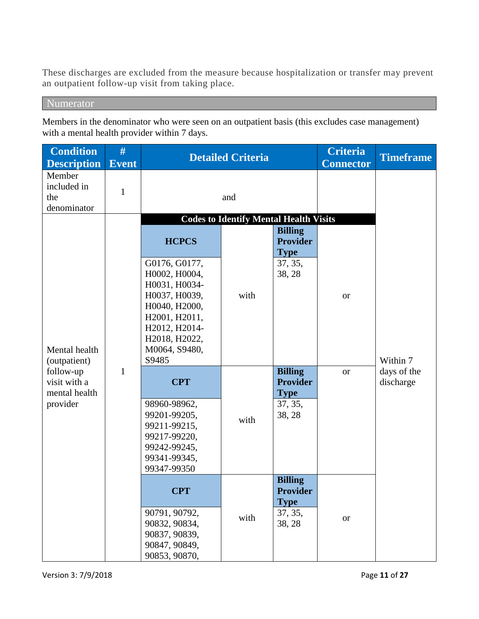These discharges are excluded from the measure because hospitalization or transfer may prevent an outpatient follow-up visit from taking place.

Numerator

Members in the denominator who were seen on an outpatient basis (this excludes case management) with a mental health provider within 7 days.

| <b>Condition</b>                            | #            | <b>Detailed Criteria</b>                                                                     |                                               | <b>Criteria</b>                                  | <b>Timeframe</b> |                          |
|---------------------------------------------|--------------|----------------------------------------------------------------------------------------------|-----------------------------------------------|--------------------------------------------------|------------------|--------------------------|
| <b>Description</b>                          | <b>Event</b> |                                                                                              |                                               |                                                  | <b>Connector</b> |                          |
| Member<br>included in<br>the<br>denominator | $\mathbf{1}$ |                                                                                              | and                                           |                                                  |                  |                          |
|                                             |              |                                                                                              | <b>Codes to Identify Mental Health Visits</b> |                                                  |                  |                          |
|                                             |              | <b>HCPCS</b>                                                                                 |                                               | <b>Billing</b><br><b>Provider</b><br><b>Type</b> |                  |                          |
|                                             |              | G0176, G0177,<br>H0002, H0004,<br>H0031, H0034-                                              |                                               | 37, 35,<br>38, 28                                |                  |                          |
|                                             |              | H0037, H0039,<br>H0040, H2000,<br>H2001, H2011,<br>H2012, H2014-                             | with                                          |                                                  | <b>or</b>        |                          |
| Mental health<br>(outpatient)               |              | H2018, H2022,<br>M0064, S9480,<br>S9485                                                      |                                               |                                                  |                  | Within 7                 |
| follow-up<br>visit with a<br>mental health  | $\mathbf{1}$ | <b>CPT</b>                                                                                   |                                               | <b>Billing</b><br><b>Provider</b><br><b>Type</b> | <b>or</b>        | days of the<br>discharge |
| provider                                    |              | 98960-98962,<br>99201-99205,<br>99211-99215,<br>99217-99220,<br>99242-99245,<br>99341-99345, | with                                          | 37, 35,<br>38, 28                                |                  |                          |
|                                             |              | 99347-99350<br><b>CPT</b>                                                                    |                                               | <b>Billing</b><br>Provider<br><b>Type</b>        |                  |                          |
|                                             |              | 90791, 90792,<br>90832, 90834,<br>90837, 90839,<br>90847, 90849,<br>90853, 90870,            | with                                          | 37, 35,<br>38, 28                                | <b>or</b>        |                          |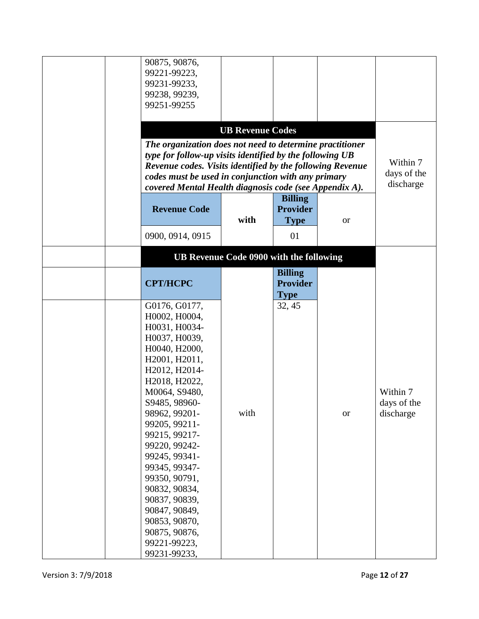| 90875, 90876,                                             |                                         |                 |           |             |
|-----------------------------------------------------------|-----------------------------------------|-----------------|-----------|-------------|
| 99221-99223,                                              |                                         |                 |           |             |
| 99231-99233,                                              |                                         |                 |           |             |
| 99238, 99239,                                             |                                         |                 |           |             |
| 99251-99255                                               |                                         |                 |           |             |
|                                                           |                                         |                 |           |             |
|                                                           | <b>UB Revenue Codes</b>                 |                 |           |             |
| The organization does not need to determine practitioner  |                                         |                 |           |             |
| type for follow-up visits identified by the following UB  |                                         |                 |           |             |
| Revenue codes. Visits identified by the following Revenue |                                         |                 |           | Within 7    |
| codes must be used in conjunction with any primary        |                                         |                 |           | days of the |
| covered Mental Health diagnosis code (see Appendix A).    |                                         |                 |           | discharge   |
|                                                           |                                         |                 |           |             |
|                                                           |                                         | <b>Billing</b>  |           |             |
| <b>Revenue Code</b>                                       |                                         | <b>Provider</b> |           |             |
|                                                           | with                                    | <b>Type</b>     | <b>or</b> |             |
| 0900, 0914, 0915                                          |                                         | 01              |           |             |
|                                                           | UB Revenue Code 0900 with the following |                 |           |             |
|                                                           |                                         |                 |           |             |
|                                                           |                                         | <b>Billing</b>  |           |             |
| <b>CPT/HCPC</b>                                           |                                         | <b>Provider</b> |           |             |
|                                                           |                                         | <b>Type</b>     |           |             |
| G0176, G0177,                                             |                                         | 32, 45          |           |             |
| H0002, H0004,                                             |                                         |                 |           |             |
| H0031, H0034-                                             |                                         |                 |           |             |
| H0037, H0039,                                             |                                         |                 |           |             |
| H0040, H2000,                                             |                                         |                 |           |             |
| H2001, H2011,                                             |                                         |                 |           |             |
| H2012, H2014-                                             |                                         |                 |           |             |
| H2018, H2022,                                             |                                         |                 |           |             |
| M0064, S9480,                                             |                                         |                 |           | Within 7    |
| S9485, 98960-                                             |                                         |                 |           | days of the |
| 98962, 99201-                                             | with                                    |                 |           |             |
|                                                           |                                         |                 | <b>or</b> | discharge   |
| 99205, 99211-                                             |                                         |                 |           |             |
| 99215, 99217-                                             |                                         |                 |           |             |
| 99220, 99242-                                             |                                         |                 |           |             |
| 99245, 99341-                                             |                                         |                 |           |             |
| 99345, 99347-                                             |                                         |                 |           |             |
| 99350, 90791,                                             |                                         |                 |           |             |
| 90832, 90834,                                             |                                         |                 |           |             |
| 90837, 90839,                                             |                                         |                 |           |             |
| 90847, 90849,                                             |                                         |                 |           |             |
| 90853, 90870,                                             |                                         |                 |           |             |
| 90875, 90876,                                             |                                         |                 |           |             |
| 99221-99223,                                              |                                         |                 |           |             |
| 99231-99233,                                              |                                         |                 |           |             |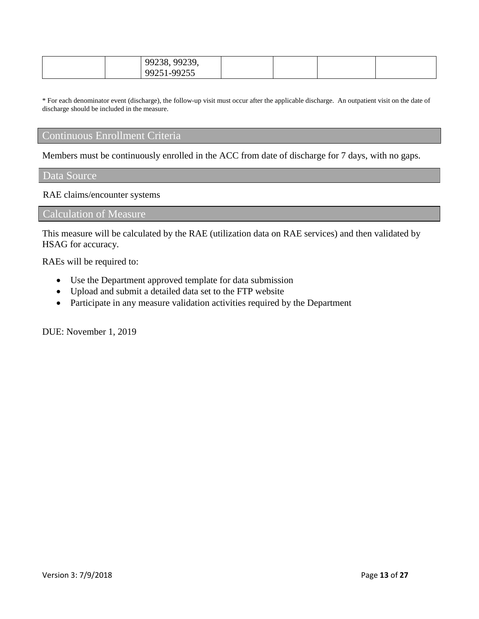| 99239<br>$-99^\circ$<br>^<br><i>.</i><br>2200<br>$\sim$ |  |  |
|---------------------------------------------------------|--|--|
| 00255<br>9925<br><u>, , , ,</u>                         |  |  |

\* For each denominator event (discharge), the follow-up visit must occur after the applicable discharge. An outpatient visit on the date of discharge should be included in the measure.

# Continuous Enrollment Criteria

Members must be continuously enrolled in the ACC from date of discharge for 7 days, with no gaps.

#### Data Source

RAE claims/encounter systems

Calculation of Measure

This measure will be calculated by the RAE (utilization data on RAE services) and then validated by HSAG for accuracy.

RAEs will be required to:

- Use the Department approved template for data submission
- Upload and submit a detailed data set to the FTP website
- Participate in any measure validation activities required by the Department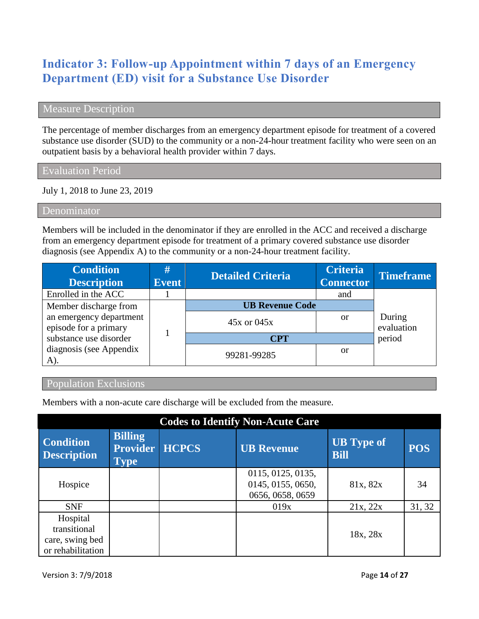# **Indicator 3: Follow-up Appointment within 7 days of an Emergency Department (ED) visit for a Substance Use Disorder**

#### Measure Description

The percentage of member discharges from an emergency department episode for treatment of a covered substance use disorder (SUD) to the community or a non-24-hour treatment facility who were seen on an outpatient basis by a behavioral health provider within 7 days.

Evaluation Period

July 1, 2018 to June 23, 2019

Denominator

Members will be included in the denominator if they are enrolled in the ACC and received a discharge from an emergency department episode for treatment of a primary covered substance use disorder diagnosis (see Appendix A) to the community or a non-24-hour treatment facility.

| <b>Condition</b><br><b>Description</b>           | #<br><b>Event</b> | <b>Detailed Criteria</b> | <b>Criteria</b><br><b>Connector</b> | <b>Timeframe</b>     |
|--------------------------------------------------|-------------------|--------------------------|-------------------------------------|----------------------|
| Enrolled in the ACC                              |                   |                          | and                                 |                      |
| Member discharge from                            |                   | <b>UB Revenue Code</b>   |                                     |                      |
| an emergency department<br>episode for a primary |                   | $45x$ or $045x$          | <sub>or</sub>                       | During<br>evaluation |
| substance use disorder                           |                   | <b>CPT</b>               | period                              |                      |
| diagnosis (see Appendix<br>A).                   |                   | 99281-99285              | or                                  |                      |

# Population Exclusions

Members with a non-acute care discharge will be excluded from the measure.

| <b>Codes to Identify Non-Acute Care</b>                          |                                                  |              |                                                            |                                  |            |  |  |
|------------------------------------------------------------------|--------------------------------------------------|--------------|------------------------------------------------------------|----------------------------------|------------|--|--|
| Condition<br><b>Description</b>                                  | <b>Billing</b><br><b>Provider</b><br><b>Type</b> | <b>HCPCS</b> | <b>UB Revenue</b>                                          | <b>UB</b> Type of<br><b>Bill</b> | <b>POS</b> |  |  |
| Hospice                                                          |                                                  |              | 0115, 0125, 0135,<br>0145, 0155, 0650,<br>0656, 0658, 0659 | 81x, 82x                         | 34         |  |  |
| <b>SNF</b>                                                       |                                                  |              | 019x                                                       | 21x, 22x                         | 31, 32     |  |  |
| Hospital<br>transitional<br>care, swing bed<br>or rehabilitation |                                                  |              |                                                            | 18x, 28x                         |            |  |  |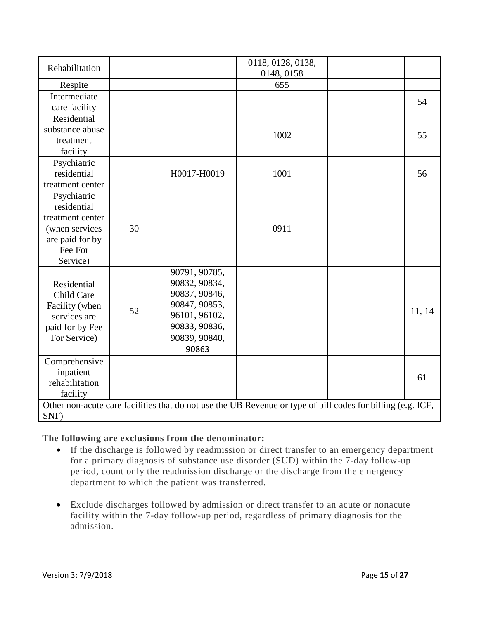| Rehabilitation   |    |                                | 0118, 0128, 0138,<br>0148, 0158                                                                             |        |
|------------------|----|--------------------------------|-------------------------------------------------------------------------------------------------------------|--------|
| Respite          |    |                                | 655                                                                                                         |        |
| Intermediate     |    |                                |                                                                                                             | 54     |
| care facility    |    |                                |                                                                                                             |        |
| Residential      |    |                                |                                                                                                             |        |
| substance abuse  |    |                                | 1002                                                                                                        | 55     |
| treatment        |    |                                |                                                                                                             |        |
| facility         |    |                                |                                                                                                             |        |
| Psychiatric      |    |                                |                                                                                                             |        |
| residential      |    | H0017-H0019                    | 1001                                                                                                        | 56     |
| treatment center |    |                                |                                                                                                             |        |
| Psychiatric      |    |                                |                                                                                                             |        |
| residential      |    |                                |                                                                                                             |        |
| treatment center |    |                                |                                                                                                             |        |
| (when services   | 30 |                                | 0911                                                                                                        |        |
| are paid for by  |    |                                |                                                                                                             |        |
| Fee For          |    |                                |                                                                                                             |        |
| Service)         |    |                                |                                                                                                             |        |
| Residential      |    | 90791, 90785,<br>90832, 90834, |                                                                                                             |        |
| Child Care       |    | 90837, 90846,                  |                                                                                                             |        |
| Facility (when   |    | 90847, 90853,                  |                                                                                                             |        |
| services are     | 52 | 96101, 96102,                  |                                                                                                             | 11, 14 |
| paid for by Fee  |    | 90833, 90836,                  |                                                                                                             |        |
| For Service)     |    | 90839, 90840,                  |                                                                                                             |        |
|                  |    | 90863                          |                                                                                                             |        |
| Comprehensive    |    |                                |                                                                                                             |        |
| inpatient        |    |                                |                                                                                                             |        |
| rehabilitation   |    |                                |                                                                                                             | 61     |
| facility         |    |                                |                                                                                                             |        |
|                  |    |                                | Other non-acute care facilities that do not use the UB Revenue or type of bill codes for billing (e.g. ICF, |        |
| SNF)             |    |                                |                                                                                                             |        |

#### **The following are exclusions from the denominator:**

- If the discharge is followed by readmission or direct transfer to an emergency department for a primary diagnosis of substance use disorder (SUD) within the 7-day follow-up period, count only the readmission discharge or the discharge from the emergency department to which the patient was transferred.
- Exclude discharges followed by admission or direct transfer to an acute or nonacute facility within the 7-day follow-up period, regardless of primary diagnosis for the admission.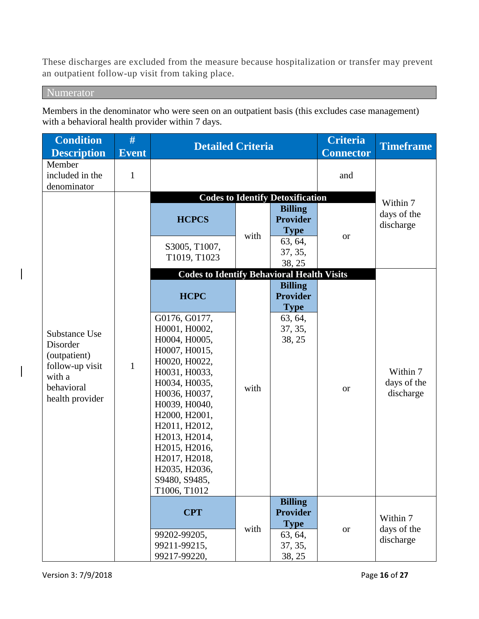These discharges are excluded from the measure because hospitalization or transfer may prevent an outpatient follow-up visit from taking place.

Numerator

Members in the denominator who were seen on an outpatient basis (this excludes case management) with a behavioral health provider within 7 days.

| <b>Condition</b><br><b>Description</b>                                                                  | #<br><b>Event</b> | <b>Detailed Criteria</b>                                                                                                                                                                                                                                                                                    |      |                                                                                                                             | <b>Criteria</b><br><b>Connector</b> | <b>Timeframe</b>                     |
|---------------------------------------------------------------------------------------------------------|-------------------|-------------------------------------------------------------------------------------------------------------------------------------------------------------------------------------------------------------------------------------------------------------------------------------------------------------|------|-----------------------------------------------------------------------------------------------------------------------------|-------------------------------------|--------------------------------------|
| Member<br>included in the<br>denominator                                                                | $\mathbf{1}$      |                                                                                                                                                                                                                                                                                                             |      |                                                                                                                             | and                                 |                                      |
|                                                                                                         |                   | <b>HCPCS</b><br>S3005, T1007,<br>T1019, T1023                                                                                                                                                                                                                                                               | with | <b>Codes to Identify Detoxification</b><br><b>Billing</b><br><b>Provider</b><br><b>Type</b><br>63, 64,<br>37, 35,<br>38, 25 | <b>or</b>                           | Within 7<br>days of the<br>discharge |
|                                                                                                         |                   | <b>Codes to Identify Behavioral Health Visits</b>                                                                                                                                                                                                                                                           |      |                                                                                                                             |                                     |                                      |
| Substance Use<br>Disorder<br>(outpatient)<br>follow-up visit<br>with a<br>behavioral<br>health provider | $\mathbf{1}$      | <b>HCPC</b><br>G0176, G0177,<br>H0001, H0002,<br>H0004, H0005,<br>H0007, H0015,<br>H0020, H0022,<br>H0031, H0033,<br>H0034, H0035,<br>H0036, H0037,<br>H0039, H0040,<br>H2000, H2001,<br>H2011, H2012,<br>H2013, H2014,<br>H2015, H2016,<br>H2017, H2018,<br>H2035, H2036,<br>S9480, S9485,<br>T1006, T1012 | with | <b>Billing</b><br><b>Provider</b><br><b>Type</b><br>63, 64,<br>37, 35,<br>38, 25                                            | <b>or</b>                           | Within 7<br>days of the<br>discharge |
|                                                                                                         |                   | <b>CPT</b><br>99202-99205,<br>99211-99215,<br>99217-99220,                                                                                                                                                                                                                                                  | with | <b>Billing</b><br><b>Provider</b><br><b>Type</b><br>63, 64,<br>37, 35,<br>38, 25                                            | <b>or</b>                           | Within 7<br>days of the<br>discharge |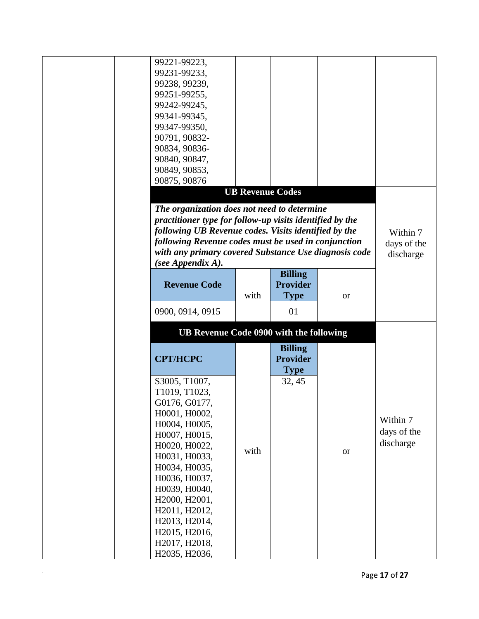| 99221-99223,                                             |      |                         |           |             |
|----------------------------------------------------------|------|-------------------------|-----------|-------------|
| 99231-99233,                                             |      |                         |           |             |
| 99238, 99239,                                            |      |                         |           |             |
| 99251-99255,                                             |      |                         |           |             |
| 99242-99245,                                             |      |                         |           |             |
| 99341-99345,                                             |      |                         |           |             |
| 99347-99350,                                             |      |                         |           |             |
| 90791, 90832-                                            |      |                         |           |             |
| 90834, 90836-                                            |      |                         |           |             |
| 90840, 90847,                                            |      |                         |           |             |
| 90849, 90853,                                            |      |                         |           |             |
| 90875, 90876                                             |      |                         |           |             |
|                                                          |      | <b>UB Revenue Codes</b> |           |             |
| The organization does not need to determine              |      |                         |           |             |
| practitioner type for follow-up visits identified by the |      |                         |           |             |
| following UB Revenue codes. Visits identified by the     |      |                         |           | Within 7    |
| following Revenue codes must be used in conjunction      |      |                         |           | days of the |
| with any primary covered Substance Use diagnosis code    |      |                         |           | discharge   |
| (see Appendix A).                                        |      |                         |           |             |
|                                                          |      | <b>Billing</b>          |           |             |
| <b>Revenue Code</b>                                      |      | <b>Provider</b>         |           |             |
|                                                          | with | <b>Type</b>             | <b>or</b> |             |
| 0900, 0914, 0915                                         |      | 01                      |           |             |
| UB Revenue Code 0900 with the following                  |      |                         |           |             |
|                                                          |      | <b>Billing</b>          |           |             |
| <b>CPT/HCPC</b>                                          |      | <b>Provider</b>         |           |             |
|                                                          |      | <b>Type</b>             |           |             |
| S3005, T1007,                                            |      | 32, 45                  |           |             |
| T1019, T1023,                                            |      |                         |           |             |
| G0176, G0177,                                            |      |                         |           |             |
| H0001, H0002,                                            |      |                         |           |             |
| H0004, H0005,                                            |      |                         |           |             |
|                                                          |      |                         |           | Within 7    |
|                                                          |      |                         |           |             |
| H0007, H0015,                                            |      |                         |           | days of the |
| H0020, H0022,                                            | with |                         | <b>or</b> | discharge   |
| H0031, H0033,                                            |      |                         |           |             |
| H0034, H0035,                                            |      |                         |           |             |
|                                                          |      |                         |           |             |
| H0036, H0037,<br>H0039, H0040,                           |      |                         |           |             |
| H2000, H2001,                                            |      |                         |           |             |
| H2011, H2012,                                            |      |                         |           |             |
| H2013, H2014,                                            |      |                         |           |             |
|                                                          |      |                         |           |             |
| H2015, H2016,<br>H2017, H2018,<br>H2035, H2036,          |      |                         |           |             |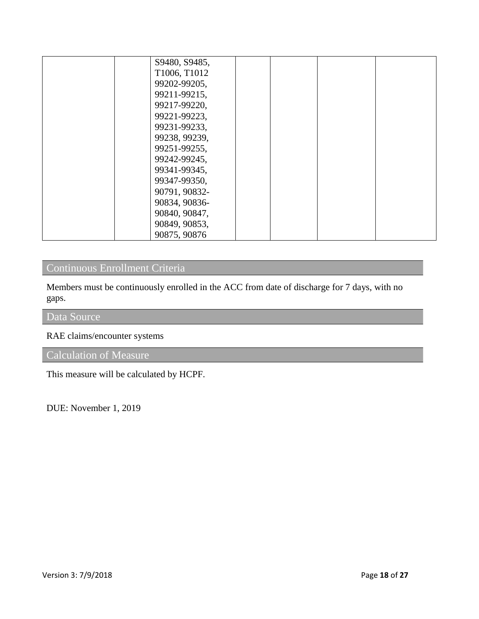| S9480, S9485, |  |  |
|---------------|--|--|
| T1006, T1012  |  |  |
| 99202-99205,  |  |  |
| 99211-99215,  |  |  |
| 99217-99220,  |  |  |
| 99221-99223,  |  |  |
| 99231-99233,  |  |  |
| 99238, 99239, |  |  |
| 99251-99255,  |  |  |
| 99242-99245,  |  |  |
| 99341-99345,  |  |  |
| 99347-99350,  |  |  |
| 90791, 90832- |  |  |
| 90834, 90836- |  |  |
| 90840, 90847, |  |  |
| 90849, 90853, |  |  |
| 90875, 90876  |  |  |

# Continuous Enrollment Criteria

Members must be continuously enrolled in the ACC from date of discharge for 7 days, with no gaps.

# Data Source

## RAE claims/encounter systems

# Calculation of Measure

This measure will be calculated by HCPF.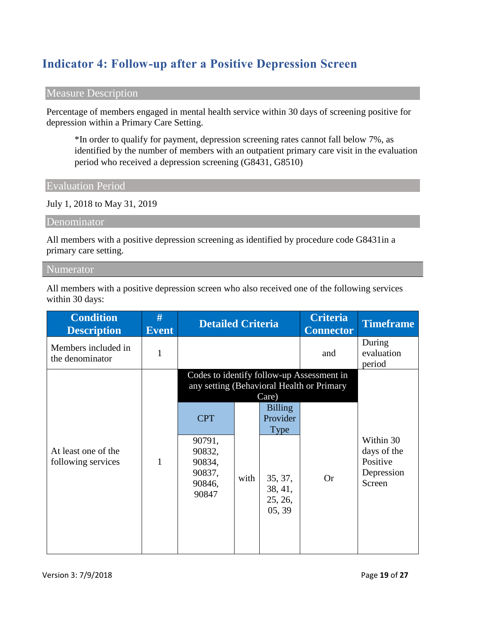# **Indicator 4: Follow-up after a Positive Depression Screen**

### Measure Description

Percentage of members engaged in mental health service within 30 days of screening positive for depression within a Primary Care Setting.

\*In order to qualify for payment, depression screening rates cannot fall below 7%, as identified by the number of members with an outpatient primary care visit in the evaluation period who received a depression screening (G8431, G8510)

Evaluation Period

July 1, 2018 to May 31, 2019

Denominator

All members with a positive depression screening as identified by procedure code G8431in a primary care setting.

Numerator

All members with a positive depression screen who also received one of the following services within 30 days:

| <b>Condition</b><br><b>Description</b>    | #<br><b>Event</b> | <b>Detailed Criteria</b>                                              |      |                                                                                      | <b>Criteria</b><br><b>Connector</b>                                                    | <b>Timeframe</b>                                             |
|-------------------------------------------|-------------------|-----------------------------------------------------------------------|------|--------------------------------------------------------------------------------------|----------------------------------------------------------------------------------------|--------------------------------------------------------------|
| Members included in<br>the denominator    | $\mathbf{1}$      |                                                                       |      |                                                                                      | and                                                                                    | During<br>evaluation<br>period                               |
|                                           |                   |                                                                       |      | Care)                                                                                | Codes to identify follow-up Assessment in<br>any setting (Behavioral Health or Primary |                                                              |
| At least one of the<br>following services | 1                 | <b>CPT</b><br>90791,<br>90832,<br>90834,<br>90837,<br>90846,<br>90847 | with | <b>Billing</b><br>Provider<br><b>Type</b><br>35, 37,<br>38, 41,<br>25, 26,<br>05, 39 | <b>Or</b>                                                                              | Within 30<br>days of the<br>Positive<br>Depression<br>Screen |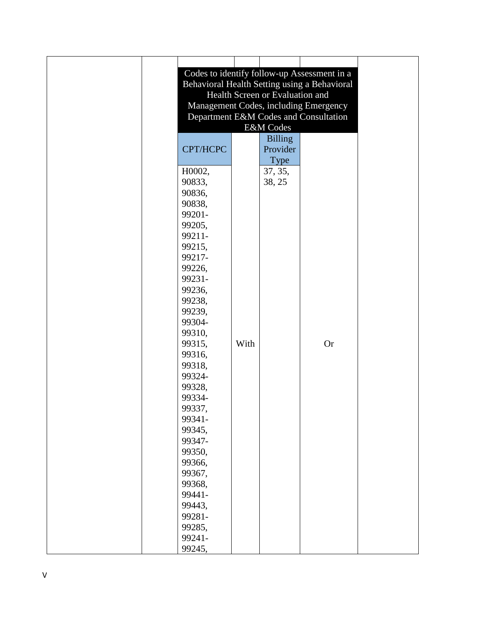|          |      |                                 | Codes to identify follow-up Assessment in a  |
|----------|------|---------------------------------|----------------------------------------------|
|          |      |                                 | Behavioral Health Setting using a Behavioral |
|          |      | Health Screen or Evaluation and |                                              |
|          |      |                                 | Management Codes, including Emergency        |
|          |      |                                 | Department E&M Codes and Consultation        |
|          |      | E&M Codes                       |                                              |
|          |      | <b>Billing</b>                  |                                              |
|          |      |                                 |                                              |
| CPT/HCPC |      | Provider                        |                                              |
|          |      | <b>Type</b>                     |                                              |
| H0002,   |      | 37, 35,                         |                                              |
| 90833,   |      | 38, 25                          |                                              |
| 90836,   |      |                                 |                                              |
| 90838,   |      |                                 |                                              |
| 99201-   |      |                                 |                                              |
| 99205,   |      |                                 |                                              |
| 99211-   |      |                                 |                                              |
| 99215,   |      |                                 |                                              |
| 99217-   |      |                                 |                                              |
| 99226,   |      |                                 |                                              |
| 99231-   |      |                                 |                                              |
| 99236,   |      |                                 |                                              |
| 99238,   |      |                                 |                                              |
| 99239,   |      |                                 |                                              |
| 99304-   |      |                                 |                                              |
| 99310,   |      |                                 |                                              |
| 99315,   | With |                                 | <b>Or</b>                                    |
| 99316,   |      |                                 |                                              |
| 99318,   |      |                                 |                                              |
| 99324-   |      |                                 |                                              |
| 99328,   |      |                                 |                                              |
| 99334-   |      |                                 |                                              |
| 99337,   |      |                                 |                                              |
| 99341-   |      |                                 |                                              |
| 99345,   |      |                                 |                                              |
| 99347-   |      |                                 |                                              |
| 99350,   |      |                                 |                                              |
| 99366,   |      |                                 |                                              |
| 99367,   |      |                                 |                                              |
| 99368,   |      |                                 |                                              |
| 99441-   |      |                                 |                                              |
|          |      |                                 |                                              |
| 99443,   |      |                                 |                                              |
| 99281-   |      |                                 |                                              |
| 99285,   |      |                                 |                                              |
| 99241-   |      |                                 |                                              |
| 99245,   |      |                                 |                                              |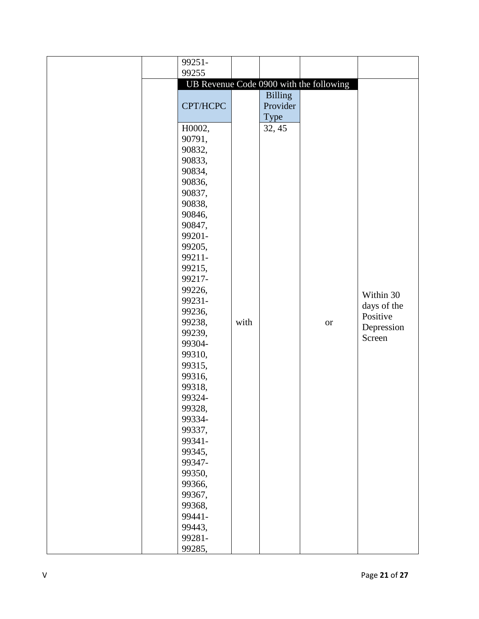| 99251-   |      |                |                                         |             |
|----------|------|----------------|-----------------------------------------|-------------|
| 99255    |      |                |                                         |             |
|          |      |                | UB Revenue Code 0900 with the following |             |
|          |      | <b>Billing</b> |                                         |             |
| CPT/HCPC |      | Provider       |                                         |             |
|          |      | Type           |                                         |             |
| H0002,   |      | 32, 45         |                                         |             |
| 90791,   |      |                |                                         |             |
| 90832,   |      |                |                                         |             |
| 90833,   |      |                |                                         |             |
| 90834,   |      |                |                                         |             |
| 90836,   |      |                |                                         |             |
| 90837,   |      |                |                                         |             |
| 90838,   |      |                |                                         |             |
| 90846,   |      |                |                                         |             |
| 90847,   |      |                |                                         |             |
| 99201-   |      |                |                                         |             |
| 99205,   |      |                |                                         |             |
| 99211-   |      |                |                                         |             |
| 99215,   |      |                |                                         |             |
| 99217-   |      |                |                                         |             |
| 99226,   |      |                |                                         | Within 30   |
| 99231-   |      |                |                                         | days of the |
| 99236,   |      |                |                                         | Positive    |
| 99238,   | with |                | <b>or</b>                               | Depression  |
| 99239,   |      |                |                                         | Screen      |
| 99304-   |      |                |                                         |             |
| 99310,   |      |                |                                         |             |
| 99315,   |      |                |                                         |             |
| 99316,   |      |                |                                         |             |
| 99318,   |      |                |                                         |             |
| 99324-   |      |                |                                         |             |
| 99328,   |      |                |                                         |             |
| 99334-   |      |                |                                         |             |
| 99337,   |      |                |                                         |             |
| 99341-   |      |                |                                         |             |
| 99345,   |      |                |                                         |             |
| 99347-   |      |                |                                         |             |
| 99350,   |      |                |                                         |             |
| 99366,   |      |                |                                         |             |
| 99367,   |      |                |                                         |             |
| 99368,   |      |                |                                         |             |
| 99441-   |      |                |                                         |             |
| 99443,   |      |                |                                         |             |
| 99281-   |      |                |                                         |             |
| 99285,   |      |                |                                         |             |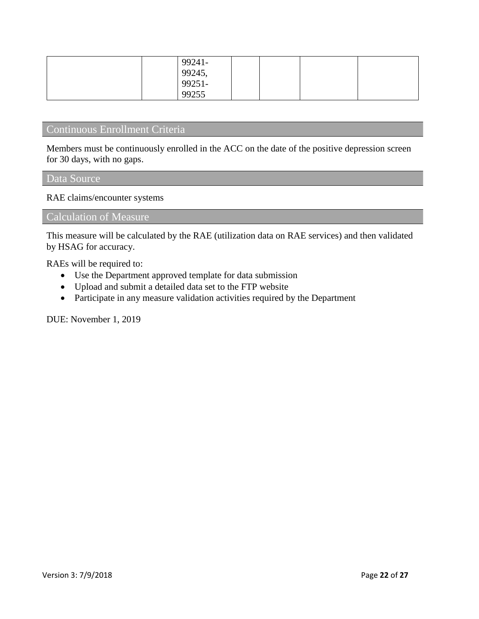| 99241-       |  |  |
|--------------|--|--|
|              |  |  |
| 99245, 99251 |  |  |
| 99255        |  |  |

# Continuous Enrollment Criteria

Members must be continuously enrolled in the ACC on the date of the positive depression screen for 30 days, with no gaps.

#### Data Source

RAE claims/encounter systems

### Calculation of Measure

This measure will be calculated by the RAE (utilization data on RAE services) and then validated by HSAG for accuracy.

RAEs will be required to:

- Use the Department approved template for data submission
- Upload and submit a detailed data set to the FTP website
- Participate in any measure validation activities required by the Department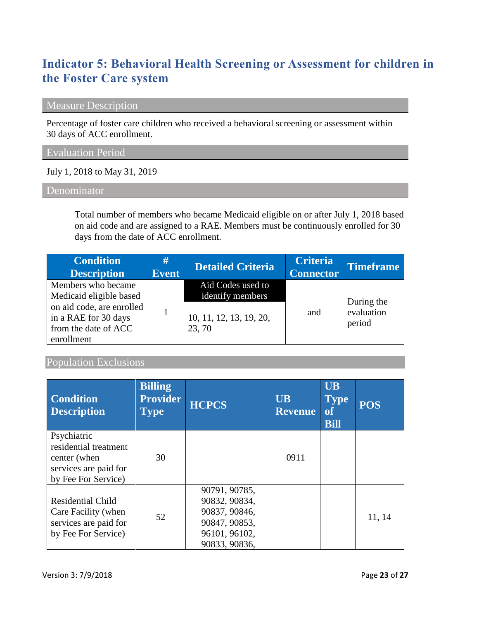# **Indicator 5: Behavioral Health Screening or Assessment for children in the Foster Care system**

# Measure Description

Percentage of foster care children who received a behavioral screening or assessment within 30 days of ACC enrollment.

## Evaluation Period

July 1, 2018 to May 31, 2019

#### **Denominator**

Total number of members who became Medicaid eligible on or after July 1, 2018 based on aid code and are assigned to a RAE. Members must be continuously enrolled for 30 days from the date of ACC enrollment.

| <b>Condition</b><br><b>Description</b>                                                                                                   | #<br><b>Event</b> | <b>Detailed Criteria</b>                                                   | <b>Criteria</b><br><b>Connector</b> | <b>Timeframe</b>                   |
|------------------------------------------------------------------------------------------------------------------------------------------|-------------------|----------------------------------------------------------------------------|-------------------------------------|------------------------------------|
| Members who became<br>Medicaid eligible based<br>on aid code, are enrolled<br>in a RAE for 30 days<br>from the date of ACC<br>enrollment |                   | Aid Codes used to<br>identify members<br>10, 11, 12, 13, 19, 20,<br>23, 70 | and                                 | During the<br>evaluation<br>period |

### Population Exclusions

| <b>Condition</b><br><b>Description</b>                                                               | <b>Billing</b><br><b>Provider</b><br>$\mathbf{Type}$ | <b>HCPCS</b>                                                                                       | <b>UB</b><br><b>Revenue</b> | <b>UB</b><br><b>Type</b><br><b>of</b><br><b>Bill</b> | <b>POS</b> |
|------------------------------------------------------------------------------------------------------|------------------------------------------------------|----------------------------------------------------------------------------------------------------|-----------------------------|------------------------------------------------------|------------|
| Psychiatric<br>residential treatment<br>center (when<br>services are paid for<br>by Fee For Service) | 30                                                   |                                                                                                    | 0911                        |                                                      |            |
| <b>Residential Child</b><br>Care Facility (when<br>services are paid for<br>by Fee For Service)      | 52                                                   | 90791, 90785,<br>90832, 90834,<br>90837, 90846,<br>90847, 90853,<br>96101, 96102,<br>90833, 90836, |                             |                                                      | 11, 14     |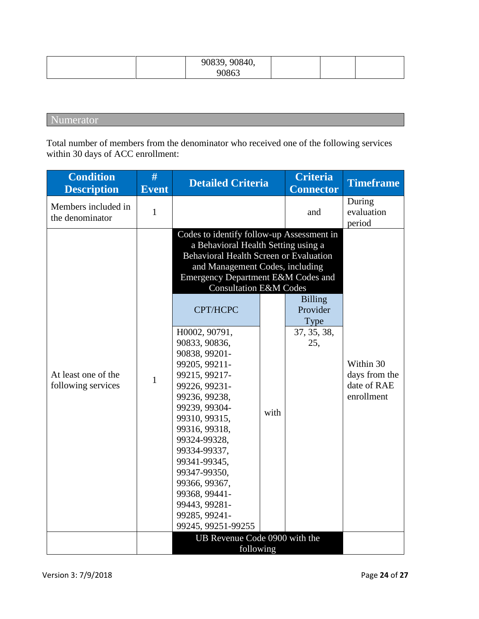|  | 90839, 90840, |  |  |
|--|---------------|--|--|
|  | 90863         |  |  |

# Numerator

Total number of members from the denominator who received one of the following services within 30 days of ACC enrollment:

| <b>Condition</b><br><b>Description</b>    | #<br><b>Event</b> | <b>Detailed Criteria</b>                                                                                                                                                                                                                                                                                                                                                                                                                                                                                                                                                                        |      | <b>Criteria</b><br><b>Connector</b>                      | <b>Timeframe</b>                                        |
|-------------------------------------------|-------------------|-------------------------------------------------------------------------------------------------------------------------------------------------------------------------------------------------------------------------------------------------------------------------------------------------------------------------------------------------------------------------------------------------------------------------------------------------------------------------------------------------------------------------------------------------------------------------------------------------|------|----------------------------------------------------------|---------------------------------------------------------|
| Members included in<br>the denominator    | $\mathbf{1}$      |                                                                                                                                                                                                                                                                                                                                                                                                                                                                                                                                                                                                 |      | and                                                      | During<br>evaluation<br>period                          |
| At least one of the<br>following services | $\mathbf{1}$      | Codes to identify follow-up Assessment in<br>a Behavioral Health Setting using a<br><b>Behavioral Health Screen or Evaluation</b><br>and Management Codes, including<br>Emergency Department E&M Codes and<br><b>Consultation E&amp;M Codes</b><br>CPT/HCPC<br>H0002, 90791,<br>90833, 90836,<br>90838, 99201-<br>99205, 99211-<br>99215, 99217-<br>99226, 99231-<br>99236, 99238,<br>99239, 99304-<br>99310, 99315,<br>99316, 99318,<br>99324-99328,<br>99334-99337,<br>99341-99345,<br>99347-99350,<br>99366, 99367,<br>99368, 99441-<br>99443, 99281-<br>99285, 99241-<br>99245, 99251-99255 | with | <b>Billing</b><br>Provider<br>Type<br>37, 35, 38,<br>25, | Within 30<br>days from the<br>date of RAE<br>enrollment |
|                                           |                   | UB Revenue Code 0900 with the<br>following                                                                                                                                                                                                                                                                                                                                                                                                                                                                                                                                                      |      |                                                          |                                                         |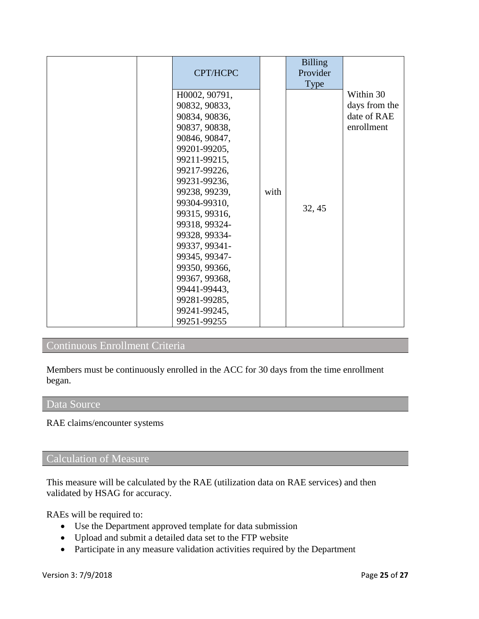| CPT/HCPC                                                                                                                                                                                                                                                                                                                                                                 |      | <b>Billing</b><br>Provider<br>Type |                                                         |
|--------------------------------------------------------------------------------------------------------------------------------------------------------------------------------------------------------------------------------------------------------------------------------------------------------------------------------------------------------------------------|------|------------------------------------|---------------------------------------------------------|
| H0002, 90791,<br>90832, 90833,<br>90834, 90836,<br>90837, 90838,<br>90846, 90847,<br>99201-99205,<br>99211-99215,<br>99217-99226,<br>99231-99236,<br>99238, 99239,<br>99304-99310,<br>99315, 99316,<br>99318, 99324-<br>99328, 99334-<br>99337, 99341-<br>99345, 99347-<br>99350, 99366,<br>99367, 99368,<br>99441-99443,<br>99281-99285,<br>99241-99245,<br>99251-99255 | with | 32, 45                             | Within 30<br>days from the<br>date of RAE<br>enrollment |

# Continuous Enrollment Criteria

Members must be continuously enrolled in the ACC for 30 days from the time enrollment began.

#### Data Source

RAE claims/encounter systems

### Calculation of Measure

This measure will be calculated by the RAE (utilization data on RAE services) and then validated by HSAG for accuracy.

RAEs will be required to:

- Use the Department approved template for data submission
- Upload and submit a detailed data set to the FTP website
- Participate in any measure validation activities required by the Department